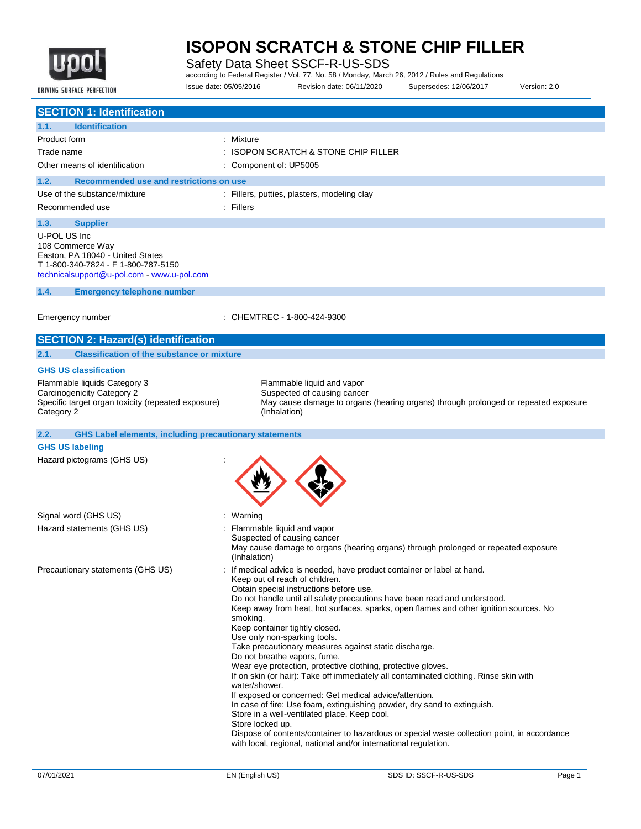

Safety Data Sheet SSCF-R-US-SDS

according to Federal Register / Vol. 77, No. 58 / Monday, March 26, 2012 / Rules and Regulations

DRIVING SURFACE PERFECTION

Issue date: 05/05/2016 Revision date: 06/11/2020 Supersedes: 12/06/2017 Version: 2.0

| Mixture                                                                                                                                                                                                                                                                                                                                                                                                                                                                                                                                                                                                                                                                                                                                                                                                         |
|-----------------------------------------------------------------------------------------------------------------------------------------------------------------------------------------------------------------------------------------------------------------------------------------------------------------------------------------------------------------------------------------------------------------------------------------------------------------------------------------------------------------------------------------------------------------------------------------------------------------------------------------------------------------------------------------------------------------------------------------------------------------------------------------------------------------|
| <b>ISOPON SCRATCH &amp; STONE CHIP FILLER</b>                                                                                                                                                                                                                                                                                                                                                                                                                                                                                                                                                                                                                                                                                                                                                                   |
| Component of: UP5005                                                                                                                                                                                                                                                                                                                                                                                                                                                                                                                                                                                                                                                                                                                                                                                            |
| Recommended use and restrictions on use                                                                                                                                                                                                                                                                                                                                                                                                                                                                                                                                                                                                                                                                                                                                                                         |
| : Fillers, putties, plasters, modeling clay                                                                                                                                                                                                                                                                                                                                                                                                                                                                                                                                                                                                                                                                                                                                                                     |
| $:$ Fillers                                                                                                                                                                                                                                                                                                                                                                                                                                                                                                                                                                                                                                                                                                                                                                                                     |
|                                                                                                                                                                                                                                                                                                                                                                                                                                                                                                                                                                                                                                                                                                                                                                                                                 |
|                                                                                                                                                                                                                                                                                                                                                                                                                                                                                                                                                                                                                                                                                                                                                                                                                 |
|                                                                                                                                                                                                                                                                                                                                                                                                                                                                                                                                                                                                                                                                                                                                                                                                                 |
| CHEMTREC - 1-800-424-9300                                                                                                                                                                                                                                                                                                                                                                                                                                                                                                                                                                                                                                                                                                                                                                                       |
|                                                                                                                                                                                                                                                                                                                                                                                                                                                                                                                                                                                                                                                                                                                                                                                                                 |
| <b>Classification of the substance or mixture</b>                                                                                                                                                                                                                                                                                                                                                                                                                                                                                                                                                                                                                                                                                                                                                               |
|                                                                                                                                                                                                                                                                                                                                                                                                                                                                                                                                                                                                                                                                                                                                                                                                                 |
| Flammable liquid and vapor<br>Suspected of causing cancer<br>Specific target organ toxicity (repeated exposure)<br>May cause damage to organs (hearing organs) through prolonged or repeated exposure<br>(Inhalation)                                                                                                                                                                                                                                                                                                                                                                                                                                                                                                                                                                                           |
| <b>GHS Label elements, including precautionary statements</b>                                                                                                                                                                                                                                                                                                                                                                                                                                                                                                                                                                                                                                                                                                                                                   |
|                                                                                                                                                                                                                                                                                                                                                                                                                                                                                                                                                                                                                                                                                                                                                                                                                 |
|                                                                                                                                                                                                                                                                                                                                                                                                                                                                                                                                                                                                                                                                                                                                                                                                                 |
| Warning                                                                                                                                                                                                                                                                                                                                                                                                                                                                                                                                                                                                                                                                                                                                                                                                         |
| Flammable liquid and vapor<br>Suspected of causing cancer<br>May cause damage to organs (hearing organs) through prolonged or repeated exposure<br>(Inhalation)                                                                                                                                                                                                                                                                                                                                                                                                                                                                                                                                                                                                                                                 |
| If medical advice is needed, have product container or label at hand.<br>Keep out of reach of children.<br>Obtain special instructions before use.<br>Do not handle until all safety precautions have been read and understood.<br>Keep away from heat, hot surfaces, sparks, open flames and other ignition sources. No<br>smoking.<br>Keep container tightly closed.<br>Use only non-sparking tools.<br>Take precautionary measures against static discharge.<br>Do not breathe vapors, fume.<br>Wear eye protection, protective clothing, protective gloves.<br>If on skin (or hair): Take off immediately all contaminated clothing. Rinse skin with<br>water/shower.<br>If exposed or concerned: Get medical advice/attention.<br>In case of fire: Use foam, extinguishing powder, dry sand to extinguish. |
|                                                                                                                                                                                                                                                                                                                                                                                                                                                                                                                                                                                                                                                                                                                                                                                                                 |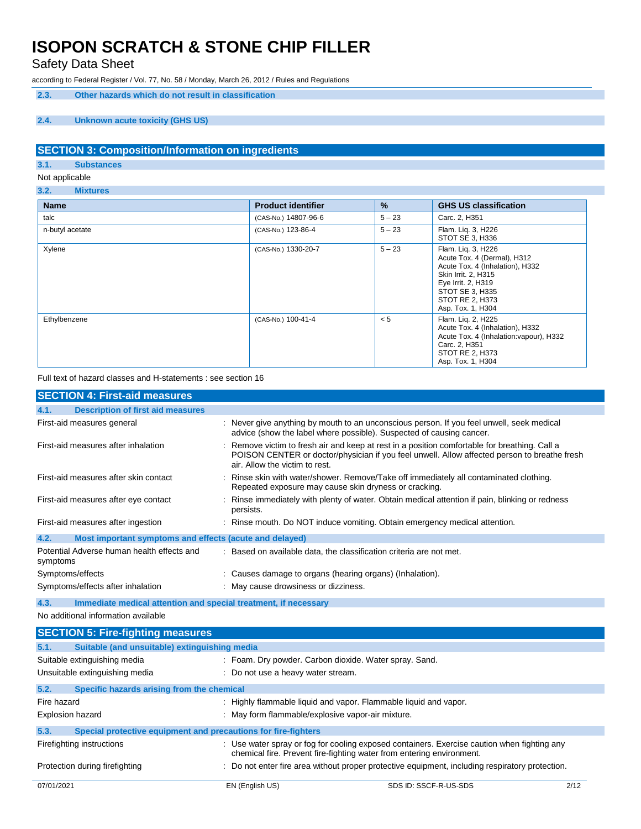Safety Data Sheet

according to Federal Register / Vol. 77, No. 58 / Monday, March 26, 2012 / Rules and Regulations

**2.3. Other hazards which do not result in classification**

### **2.4. Unknown acute toxicity (GHS US)**

### **SECTION 3: Composition/Information on ingredients**

**3.1. Substances**

Not applicable

**3.2. Mixtures**

| <b>Name</b>     | <b>Product identifier</b> | %        | <b>GHS US classification</b>                                                                                                                                                                 |
|-----------------|---------------------------|----------|----------------------------------------------------------------------------------------------------------------------------------------------------------------------------------------------|
| talc            | (CAS-No.) 14807-96-6      | $5 - 23$ | Carc. 2, H351                                                                                                                                                                                |
| n-butyl acetate | (CAS-No.) 123-86-4        | $5 - 23$ | Flam. Lig. 3, H226<br>STOT SE 3, H336                                                                                                                                                        |
| Xylene          | (CAS-No.) 1330-20-7       | $5 - 23$ | Flam. Lig. 3, H226<br>Acute Tox. 4 (Dermal), H312<br>Acute Tox. 4 (Inhalation), H332<br>Skin Irrit. 2, H315<br>Eye Irrit. 2, H319<br>STOT SE 3, H335<br>STOT RE 2, H373<br>Asp. Tox. 1, H304 |
| Ethylbenzene    | (CAS-No.) 100-41-4        | < 5      | Flam. Lig. 2, H225<br>Acute Tox. 4 (Inhalation), H332<br>Acute Tox. 4 (Inhalation: vapour), H332<br>Carc. 2, H351<br>STOT RE 2, H373<br>Asp. Tox. 1, H304                                    |

Full text of hazard classes and H-statements : see section 16

| <b>SECTION 4: First-aid measures</b>                            |                                                                                                                                                                                                                                 |
|-----------------------------------------------------------------|---------------------------------------------------------------------------------------------------------------------------------------------------------------------------------------------------------------------------------|
| <b>Description of first aid measures</b><br>4.1.                |                                                                                                                                                                                                                                 |
| First-aid measures general                                      | : Never give anything by mouth to an unconscious person. If you feel unwell, seek medical<br>advice (show the label where possible). Suspected of causing cancer.                                                               |
| First-aid measures after inhalation                             | : Remove victim to fresh air and keep at rest in a position comfortable for breathing. Call a<br>POISON CENTER or doctor/physician if you feel unwell. Allow affected person to breathe fresh<br>air. Allow the victim to rest. |
| First-aid measures after skin contact                           | : Rinse skin with water/shower. Remove/Take off immediately all contaminated clothing.<br>Repeated exposure may cause skin dryness or cracking.                                                                                 |
| First-aid measures after eye contact                            | : Rinse immediately with plenty of water. Obtain medical attention if pain, blinking or redness<br>persists.                                                                                                                    |
| First-aid measures after ingestion                              | : Rinse mouth. Do NOT induce vomiting. Obtain emergency medical attention.                                                                                                                                                      |
| 4.2.<br>Most important symptoms and effects (acute and delayed) |                                                                                                                                                                                                                                 |
| Potential Adverse human health effects and<br>symptoms          | : Based on available data, the classification criteria are not met.                                                                                                                                                             |
| Symptoms/effects                                                | : Causes damage to organs (hearing organs) (Inhalation).                                                                                                                                                                        |
| Symptoms/effects after inhalation                               | : May cause drowsiness or dizziness.                                                                                                                                                                                            |

**4.3. Immediate medical attention and special treatment, if necessary**

No additional information available

|             | <b>SECTION 5: Fire-fighting measures</b>                       |                                                        |                                                                                                                                                                      |      |
|-------------|----------------------------------------------------------------|--------------------------------------------------------|----------------------------------------------------------------------------------------------------------------------------------------------------------------------|------|
| 5.1.        | Suitable (and unsuitable) extinguishing media                  |                                                        |                                                                                                                                                                      |      |
|             | Suitable extinguishing media                                   | : Foam. Dry powder. Carbon dioxide. Water spray. Sand. |                                                                                                                                                                      |      |
|             | Unsuitable extinguishing media                                 | : Do not use a heavy water stream.                     |                                                                                                                                                                      |      |
| 5.2.        | Specific hazards arising from the chemical                     |                                                        |                                                                                                                                                                      |      |
| Fire hazard |                                                                |                                                        | : Highly flammable liquid and vapor. Flammable liquid and vapor.                                                                                                     |      |
|             | <b>Explosion hazard</b>                                        | : May form flammable/explosive vapor-air mixture.      |                                                                                                                                                                      |      |
| 5.3.        | Special protective equipment and precautions for fire-fighters |                                                        |                                                                                                                                                                      |      |
|             | Firefighting instructions                                      |                                                        | : Use water spray or fog for cooling exposed containers. Exercise caution when fighting any<br>chemical fire. Prevent fire-fighting water from entering environment. |      |
|             | Protection during firefighting                                 |                                                        | : Do not enter fire area without proper protective equipment, including respiratory protection.                                                                      |      |
| 07/01/2021  |                                                                | EN (English US)                                        | SDS ID: SSCF-R-US-SDS                                                                                                                                                | 2/12 |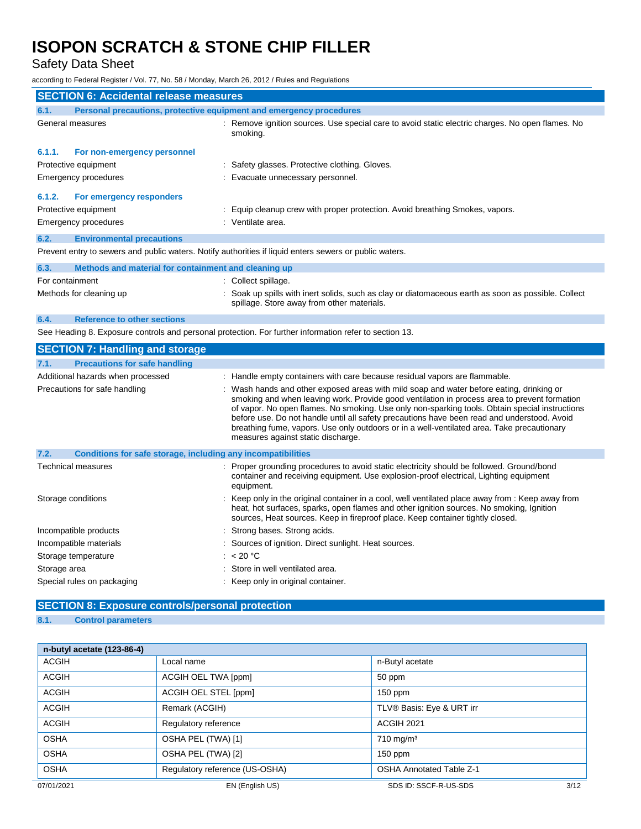Safety Data Sheet

according to Federal Register / Vol. 77, No. 58 / Monday, March 26, 2012 / Rules and Regulations

| <b>SECTION 6: Accidental release measures</b>                               |                                                              |                                                                                                                                                                                                                                                                                                                                                                                                                                                                                                                               |
|-----------------------------------------------------------------------------|--------------------------------------------------------------|-------------------------------------------------------------------------------------------------------------------------------------------------------------------------------------------------------------------------------------------------------------------------------------------------------------------------------------------------------------------------------------------------------------------------------------------------------------------------------------------------------------------------------|
| Personal precautions, protective equipment and emergency procedures<br>6.1. |                                                              |                                                                                                                                                                                                                                                                                                                                                                                                                                                                                                                               |
| General measures                                                            |                                                              | : Remove ignition sources. Use special care to avoid static electric charges. No open flames. No<br>smoking.                                                                                                                                                                                                                                                                                                                                                                                                                  |
| 6.1.1.                                                                      | For non-emergency personnel                                  |                                                                                                                                                                                                                                                                                                                                                                                                                                                                                                                               |
|                                                                             | Protective equipment                                         | : Safety glasses. Protective clothing. Gloves.                                                                                                                                                                                                                                                                                                                                                                                                                                                                                |
|                                                                             | Emergency procedures                                         | : Evacuate unnecessary personnel.                                                                                                                                                                                                                                                                                                                                                                                                                                                                                             |
| 6.1.2.                                                                      | For emergency responders                                     |                                                                                                                                                                                                                                                                                                                                                                                                                                                                                                                               |
|                                                                             | Protective equipment                                         | : Equip cleanup crew with proper protection. Avoid breathing Smokes, vapors.                                                                                                                                                                                                                                                                                                                                                                                                                                                  |
|                                                                             | Emergency procedures                                         | : Ventilate area.                                                                                                                                                                                                                                                                                                                                                                                                                                                                                                             |
| 6.2.                                                                        | <b>Environmental precautions</b>                             |                                                                                                                                                                                                                                                                                                                                                                                                                                                                                                                               |
|                                                                             |                                                              | Prevent entry to sewers and public waters. Notify authorities if liquid enters sewers or public waters.                                                                                                                                                                                                                                                                                                                                                                                                                       |
| 6.3.                                                                        | Methods and material for containment and cleaning up         |                                                                                                                                                                                                                                                                                                                                                                                                                                                                                                                               |
| For containment                                                             |                                                              | : Collect spillage.                                                                                                                                                                                                                                                                                                                                                                                                                                                                                                           |
|                                                                             | Methods for cleaning up                                      | : Soak up spills with inert solids, such as clay or diatomaceous earth as soon as possible. Collect<br>spillage. Store away from other materials.                                                                                                                                                                                                                                                                                                                                                                             |
| 6.4.                                                                        | <b>Reference to other sections</b>                           |                                                                                                                                                                                                                                                                                                                                                                                                                                                                                                                               |
|                                                                             |                                                              | See Heading 8. Exposure controls and personal protection. For further information refer to section 13.                                                                                                                                                                                                                                                                                                                                                                                                                        |
|                                                                             | <b>SECTION 7: Handling and storage</b>                       |                                                                                                                                                                                                                                                                                                                                                                                                                                                                                                                               |
| 7.1.                                                                        | <b>Precautions for safe handling</b>                         |                                                                                                                                                                                                                                                                                                                                                                                                                                                                                                                               |
|                                                                             | Additional hazards when processed                            | : Handle empty containers with care because residual vapors are flammable.                                                                                                                                                                                                                                                                                                                                                                                                                                                    |
|                                                                             | Precautions for safe handling                                | : Wash hands and other exposed areas with mild soap and water before eating, drinking or<br>smoking and when leaving work. Provide good ventilation in process area to prevent formation<br>of vapor. No open flames. No smoking. Use only non-sparking tools. Obtain special instructions<br>before use. Do not handle until all safety precautions have been read and understood. Avoid<br>breathing fume, vapors. Use only outdoors or in a well-ventilated area. Take precautionary<br>measures against static discharge. |
| 7.2.                                                                        | Conditions for safe storage, including any incompatibilities |                                                                                                                                                                                                                                                                                                                                                                                                                                                                                                                               |
|                                                                             | <b>Technical measures</b>                                    | : Proper grounding procedures to avoid static electricity should be followed. Ground/bond<br>container and receiving equipment. Use explosion-proof electrical, Lighting equipment<br>equipment.                                                                                                                                                                                                                                                                                                                              |
| Storage conditions                                                          |                                                              | : Keep only in the original container in a cool, well ventilated place away from : Keep away from<br>heat, hot surfaces, sparks, open flames and other ignition sources. No smoking, Ignition<br>sources, Heat sources. Keep in fireproof place. Keep container tightly closed.                                                                                                                                                                                                                                               |
|                                                                             | Incompatible products                                        | : Strong bases. Strong acids.                                                                                                                                                                                                                                                                                                                                                                                                                                                                                                 |
|                                                                             | Incompatible materials                                       | : Sources of ignition. Direct sunlight. Heat sources.                                                                                                                                                                                                                                                                                                                                                                                                                                                                         |
|                                                                             | Storage temperature                                          | : $< 20 °C$                                                                                                                                                                                                                                                                                                                                                                                                                                                                                                                   |
| Storage area                                                                |                                                              | Store in well ventilated area.                                                                                                                                                                                                                                                                                                                                                                                                                                                                                                |
|                                                                             | Special rules on packaging                                   | : Keep only in original container.                                                                                                                                                                                                                                                                                                                                                                                                                                                                                            |

## **SECTION 8: Exposure controls/personal protection**

### **8.1. Control parameters**

| n-butyl acetate (123-86-4) |                                |                                 |
|----------------------------|--------------------------------|---------------------------------|
| <b>ACGIH</b>               | Local name                     | n-Butyl acetate                 |
| <b>ACGIH</b>               | ACGIH OEL TWA [ppm]            | 50 ppm                          |
| <b>ACGIH</b>               | ACGIH OEL STEL [ppm]           | $150$ ppm                       |
| <b>ACGIH</b>               | Remark (ACGIH)                 | TLV® Basis: Eye & URT irr       |
| <b>ACGIH</b>               | Regulatory reference           | <b>ACGIH 2021</b>               |
| <b>OSHA</b>                | OSHA PEL (TWA) [1]             | $710$ mg/m <sup>3</sup>         |
| <b>OSHA</b>                | OSHA PEL (TWA) [2]             | $150$ ppm                       |
| <b>OSHA</b>                | Regulatory reference (US-OSHA) | <b>OSHA Annotated Table Z-1</b> |
| 07/01/2021                 | EN (English US)                | 3/12<br>SDS ID: SSCF-R-US-SDS   |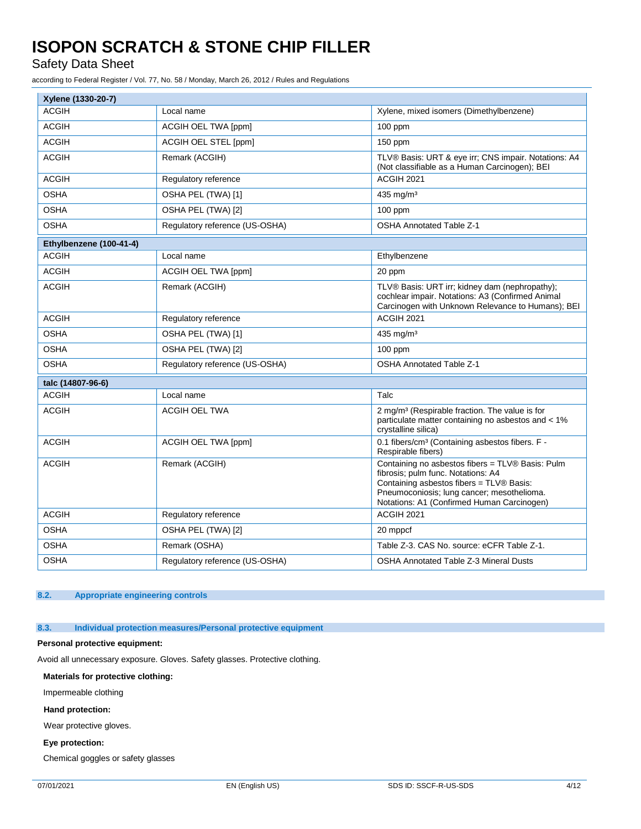Safety Data Sheet

according to Federal Register / Vol. 77, No. 58 / Monday, March 26, 2012 / Rules and Regulations

| Xylene (1330-20-7)      |                                |                                                                                                                                                                                                                                |
|-------------------------|--------------------------------|--------------------------------------------------------------------------------------------------------------------------------------------------------------------------------------------------------------------------------|
| <b>ACGIH</b>            | Local name                     | Xylene, mixed isomers (Dimethylbenzene)                                                                                                                                                                                        |
| <b>ACGIH</b>            | ACGIH OEL TWA [ppm]            | $100$ ppm                                                                                                                                                                                                                      |
| <b>ACGIH</b>            | ACGIH OEL STEL [ppm]           | 150 ppm                                                                                                                                                                                                                        |
| <b>ACGIH</b>            | Remark (ACGIH)                 | TLV® Basis: URT & eye irr; CNS impair. Notations: A4<br>(Not classifiable as a Human Carcinogen); BEI                                                                                                                          |
| <b>ACGIH</b>            | Regulatory reference           | ACGIH 2021                                                                                                                                                                                                                     |
| <b>OSHA</b>             | OSHA PEL (TWA) [1]             | 435 mg/m <sup>3</sup>                                                                                                                                                                                                          |
| <b>OSHA</b>             | OSHA PEL (TWA) [2]             | $100$ ppm                                                                                                                                                                                                                      |
| <b>OSHA</b>             | Regulatory reference (US-OSHA) | <b>OSHA Annotated Table Z-1</b>                                                                                                                                                                                                |
| Ethylbenzene (100-41-4) |                                |                                                                                                                                                                                                                                |
| <b>ACGIH</b>            | Local name                     | Ethylbenzene                                                                                                                                                                                                                   |
| <b>ACGIH</b>            | ACGIH OEL TWA [ppm]            | 20 ppm                                                                                                                                                                                                                         |
| <b>ACGIH</b>            | Remark (ACGIH)                 | TLV® Basis: URT irr; kidney dam (nephropathy);<br>cochlear impair. Notations: A3 (Confirmed Animal<br>Carcinogen with Unknown Relevance to Humans); BEI                                                                        |
| <b>ACGIH</b>            | Regulatory reference           | ACGIH 2021                                                                                                                                                                                                                     |
| <b>OSHA</b>             | OSHA PEL (TWA) [1]             | 435 mg/m <sup>3</sup>                                                                                                                                                                                                          |
| <b>OSHA</b>             | OSHA PEL (TWA) [2]             | $100$ ppm                                                                                                                                                                                                                      |
| <b>OSHA</b>             | Regulatory reference (US-OSHA) | <b>OSHA Annotated Table Z-1</b>                                                                                                                                                                                                |
| talc (14807-96-6)       |                                |                                                                                                                                                                                                                                |
| <b>ACGIH</b>            | Local name                     | Talc                                                                                                                                                                                                                           |
| <b>ACGIH</b>            | <b>ACGIH OEL TWA</b>           | 2 mg/m <sup>3</sup> (Respirable fraction. The value is for<br>particulate matter containing no asbestos and < 1%<br>crystalline silica)                                                                                        |
| <b>ACGIH</b>            | ACGIH OEL TWA [ppm]            | 0.1 fibers/cm <sup>3</sup> (Containing asbestos fibers. F -<br>Respirable fibers)                                                                                                                                              |
| <b>ACGIH</b>            | Remark (ACGIH)                 | Containing no asbestos fibers = TLV® Basis: Pulm<br>fibrosis; pulm func. Notations: A4<br>Containing asbestos fibers = TLV® Basis:<br>Pneumoconiosis; lung cancer; mesothelioma.<br>Notations: A1 (Confirmed Human Carcinogen) |
| <b>ACGIH</b>            | Regulatory reference           | <b>ACGIH 2021</b>                                                                                                                                                                                                              |
| <b>OSHA</b>             | OSHA PEL (TWA) [2]             | 20 mppcf                                                                                                                                                                                                                       |
| <b>OSHA</b>             | Remark (OSHA)                  | Table Z-3. CAS No. source: eCFR Table Z-1.                                                                                                                                                                                     |
| <b>OSHA</b>             | Regulatory reference (US-OSHA) | <b>OSHA Annotated Table Z-3 Mineral Dusts</b>                                                                                                                                                                                  |

### **8.2. Appropriate engineering controls**

**8.3. Individual protection measures/Personal protective equipment**

#### **Personal protective equipment:**

Avoid all unnecessary exposure. Gloves. Safety glasses. Protective clothing.

#### **Materials for protective clothing:**

Impermeable clothing

#### **Hand protection:**

Wear protective gloves.

#### **Eye protection:**

Chemical goggles or safety glasses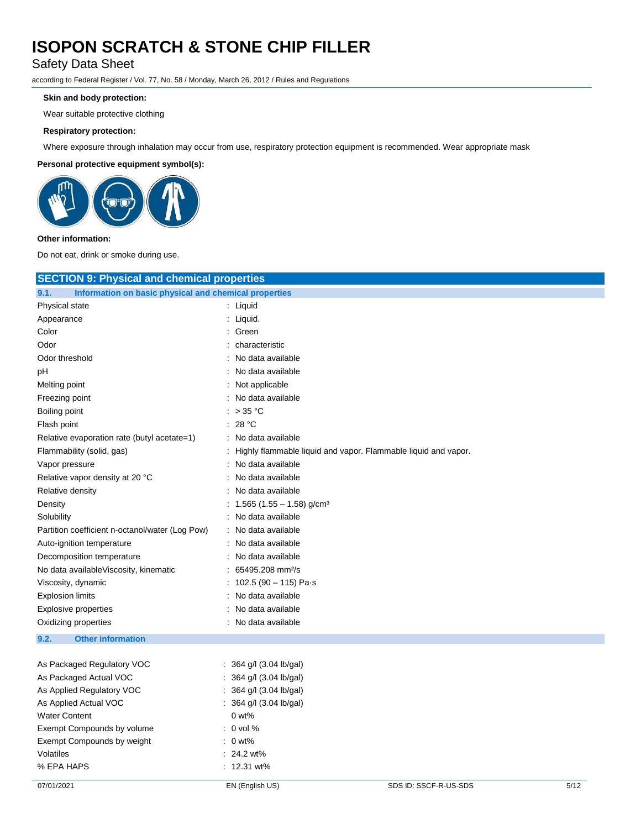Safety Data Sheet

according to Federal Register / Vol. 77, No. 58 / Monday, March 26, 2012 / Rules and Regulations

### **Skin and body protection:**

Wear suitable protective clothing

#### **Respiratory protection:**

Where exposure through inhalation may occur from use, respiratory protection equipment is recommended. Wear appropriate mask

### **Personal protective equipment symbol(s):**



#### **Other information:**

Do not eat, drink or smoke during use.

| <b>SECTION 9: Physical and chemical properties</b>            |                                       |                                                                |      |
|---------------------------------------------------------------|---------------------------------------|----------------------------------------------------------------|------|
| 9.1.<br>Information on basic physical and chemical properties |                                       |                                                                |      |
| Physical state                                                | : Liquid                              |                                                                |      |
| Appearance                                                    | Liquid.<br>÷.                         |                                                                |      |
| Color                                                         | Green                                 |                                                                |      |
| Odor                                                          | characteristic                        |                                                                |      |
| Odor threshold                                                | No data available                     |                                                                |      |
| рH                                                            | No data available                     |                                                                |      |
| Melting point                                                 | : Not applicable                      |                                                                |      |
| Freezing point                                                | No data available                     |                                                                |      |
| Boiling point                                                 | $>$ 35 °C<br>÷.                       |                                                                |      |
| Flash point                                                   | 28 °C                                 |                                                                |      |
| Relative evaporation rate (butyl acetate=1)                   | No data available                     |                                                                |      |
| Flammability (solid, gas)                                     |                                       | Highly flammable liquid and vapor. Flammable liquid and vapor. |      |
| Vapor pressure                                                | No data available                     |                                                                |      |
| Relative vapor density at 20 °C                               | No data available                     |                                                                |      |
| Relative density                                              | No data available                     |                                                                |      |
| Density                                                       | 1.565 (1.55 - 1.58) g/cm <sup>3</sup> |                                                                |      |
| Solubility                                                    | No data available                     |                                                                |      |
| Partition coefficient n-octanol/water (Log Pow)               | No data available                     |                                                                |      |
| Auto-ignition temperature                                     | No data available                     |                                                                |      |
| Decomposition temperature                                     | No data available                     |                                                                |      |
| No data available Viscosity, kinematic                        | 65495.208 mm <sup>2</sup> /s          |                                                                |      |
| Viscosity, dynamic                                            | 102.5 (90 $-$ 115) Pa $\cdot$ s       |                                                                |      |
| <b>Explosion limits</b>                                       | No data available                     |                                                                |      |
| <b>Explosive properties</b>                                   | No data available                     |                                                                |      |
| Oxidizing properties                                          | No data available                     |                                                                |      |
| 9.2.<br><b>Other information</b>                              |                                       |                                                                |      |
|                                                               |                                       |                                                                |      |
| As Packaged Regulatory VOC                                    | : 364 g/l (3.04 lb/gal)               |                                                                |      |
| As Packaged Actual VOC                                        | : 364 g/l (3.04 lb/gal)               |                                                                |      |
| As Applied Regulatory VOC                                     | 364 g/l (3.04 lb/gal)                 |                                                                |      |
| As Applied Actual VOC                                         | 364 g/l (3.04 lb/gal)                 |                                                                |      |
| <b>Water Content</b>                                          | $0 w t$ %                             |                                                                |      |
| Exempt Compounds by volume                                    | $: 0$ vol %                           |                                                                |      |
| Exempt Compounds by weight                                    | $: 0$ wt%                             |                                                                |      |
| Volatiles                                                     | $: 24.2$ wt%                          |                                                                |      |
| % EPA HAPS                                                    | : 12.31 wt%                           |                                                                |      |
| 07/01/2021                                                    | EN (English US)                       | SDS ID: SSCF-R-US-SDS                                          | 5/12 |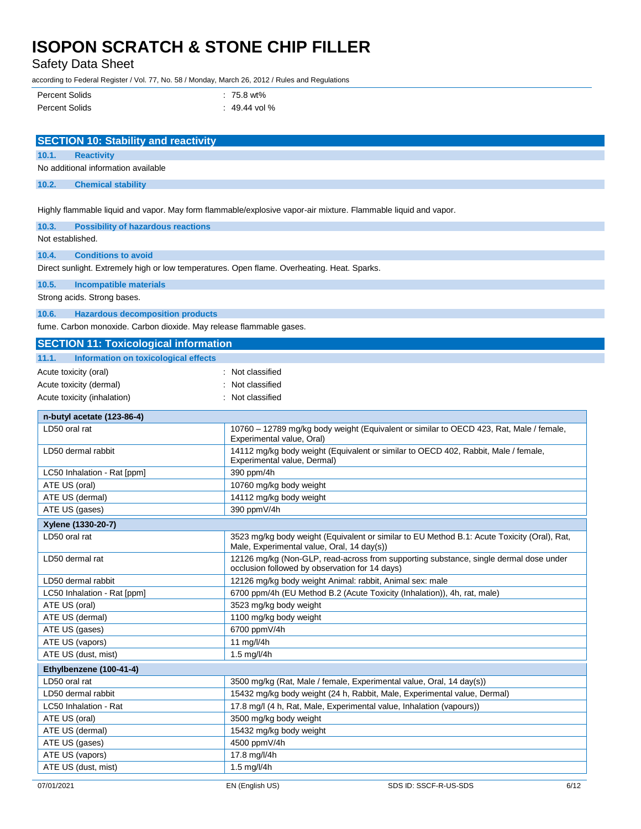Safety Data Sheet

according to Federal Register / Vol. 77, No. 58 / Monday, March 26, 2012 / Rules and Regulations

| Percent Solids        | $: 75.8$ wt%    |
|-----------------------|-----------------|
| <b>Percent Solids</b> | $: 49.44$ vol % |

| <b>SECTION 10: Stability and reactivity</b>                                                 |                                                                                                                                           |  |  |
|---------------------------------------------------------------------------------------------|-------------------------------------------------------------------------------------------------------------------------------------------|--|--|
| 10.1.<br><b>Reactivity</b>                                                                  |                                                                                                                                           |  |  |
| No additional information available                                                         |                                                                                                                                           |  |  |
|                                                                                             |                                                                                                                                           |  |  |
| 10.2.<br><b>Chemical stability</b>                                                          |                                                                                                                                           |  |  |
|                                                                                             | Highly flammable liquid and vapor. May form flammable/explosive vapor-air mixture. Flammable liquid and vapor.                            |  |  |
| 10.3.<br><b>Possibility of hazardous reactions</b>                                          |                                                                                                                                           |  |  |
| Not established.                                                                            |                                                                                                                                           |  |  |
| 10.4.<br><b>Conditions to avoid</b>                                                         |                                                                                                                                           |  |  |
| Direct sunlight. Extremely high or low temperatures. Open flame. Overheating. Heat. Sparks. |                                                                                                                                           |  |  |
| 10.5.<br><b>Incompatible materials</b>                                                      |                                                                                                                                           |  |  |
| Strong acids. Strong bases.                                                                 |                                                                                                                                           |  |  |
|                                                                                             |                                                                                                                                           |  |  |
| 10.6.<br><b>Hazardous decomposition products</b>                                            |                                                                                                                                           |  |  |
| fume. Carbon monoxide. Carbon dioxide. May release flammable gases.                         |                                                                                                                                           |  |  |
| <b>SECTION 11: Toxicological information</b>                                                |                                                                                                                                           |  |  |
| 11.1.<br>Information on toxicological effects                                               |                                                                                                                                           |  |  |
| Acute toxicity (oral)                                                                       | : Not classified                                                                                                                          |  |  |
| Acute toxicity (dermal)                                                                     | Not classified                                                                                                                            |  |  |
| Acute toxicity (inhalation)                                                                 | : Not classified                                                                                                                          |  |  |
| n-butyl acetate (123-86-4)                                                                  |                                                                                                                                           |  |  |
| LD50 oral rat                                                                               | 10760 - 12789 mg/kg body weight (Equivalent or similar to OECD 423, Rat, Male / female,                                                   |  |  |
|                                                                                             | Experimental value, Oral)                                                                                                                 |  |  |
| LD50 dermal rabbit                                                                          | 14112 mg/kg body weight (Equivalent or similar to OECD 402, Rabbit, Male / female,<br>Experimental value, Dermal)                         |  |  |
| LC50 Inhalation - Rat [ppm]                                                                 | 390 ppm/4h                                                                                                                                |  |  |
| ATE US (oral)                                                                               | 10760 mg/kg body weight                                                                                                                   |  |  |
| ATE US (dermal)                                                                             | 14112 mg/kg body weight                                                                                                                   |  |  |
| ATE US (gases)                                                                              | 390 ppmV/4h                                                                                                                               |  |  |
| Xylene (1330-20-7)                                                                          |                                                                                                                                           |  |  |
| LD50 oral rat                                                                               | 3523 mg/kg body weight (Equivalent or similar to EU Method B.1: Acute Toxicity (Oral), Rat,<br>Male, Experimental value, Oral, 14 day(s)) |  |  |
| LD50 dermal rat                                                                             | 12126 mg/kg (Non-GLP, read-across from supporting substance, single dermal dose under<br>occlusion followed by observation for 14 days)   |  |  |
| LD50 dermal rabbit                                                                          | 12126 mg/kg body weight Animal: rabbit, Animal sex: male                                                                                  |  |  |
| LC50 Inhalation - Rat [ppm]                                                                 | 6700 ppm/4h (EU Method B.2 (Acute Toxicity (Inhalation)), 4h, rat, male)                                                                  |  |  |
| ATE US (oral)                                                                               | 3523 mg/kg body weight                                                                                                                    |  |  |
| ATE US (dermal)                                                                             | 1100 mg/kg body weight                                                                                                                    |  |  |
| ATE US (gases)                                                                              | 6700 ppmV/4h                                                                                                                              |  |  |
| ATE US (vapors)                                                                             | 11 mg/l/4h                                                                                                                                |  |  |
| ATE US (dust, mist)                                                                         | 1.5 mg/l/4h                                                                                                                               |  |  |
| Ethylbenzene (100-41-4)                                                                     |                                                                                                                                           |  |  |
| LD50 oral rat                                                                               | 3500 mg/kg (Rat, Male / female, Experimental value, Oral, 14 day(s))                                                                      |  |  |
| LD50 dermal rabbit                                                                          | 15432 mg/kg body weight (24 h, Rabbit, Male, Experimental value, Dermal)                                                                  |  |  |
| LC50 Inhalation - Rat                                                                       | 17.8 mg/l (4 h, Rat, Male, Experimental value, Inhalation (vapours))                                                                      |  |  |
| ATE US (oral)                                                                               | 3500 mg/kg body weight                                                                                                                    |  |  |
| ATE US (dermal)                                                                             | 15432 mg/kg body weight                                                                                                                   |  |  |
| ATE US (gases)                                                                              | 4500 ppmV/4h                                                                                                                              |  |  |
| ATE US (vapors)                                                                             | 17.8 mg/l/4h                                                                                                                              |  |  |
| ATE US (dust, mist)                                                                         | 1.5 mg/l/4h                                                                                                                               |  |  |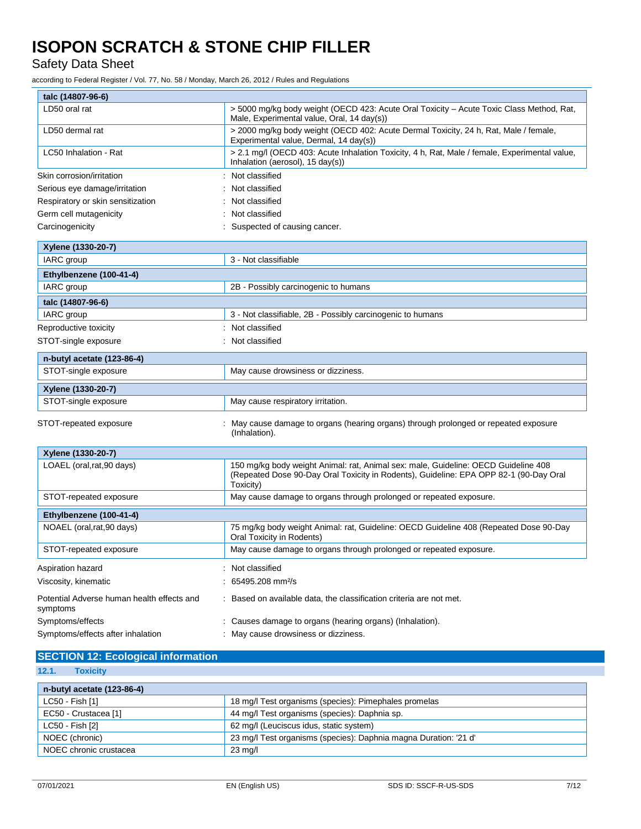Safety Data Sheet

according to Federal Register / Vol. 77, No. 58 / Monday, March 26, 2012 / Rules and Regulations

| talc (14807-96-6)                                      |                                                                                                                                                                                          |
|--------------------------------------------------------|------------------------------------------------------------------------------------------------------------------------------------------------------------------------------------------|
| LD50 oral rat                                          | > 5000 mg/kg body weight (OECD 423: Acute Oral Toxicity – Acute Toxic Class Method, Rat,<br>Male, Experimental value, Oral, 14 day(s))                                                   |
| LD50 dermal rat                                        | > 2000 mg/kg body weight (OECD 402: Acute Dermal Toxicity, 24 h, Rat, Male / female,<br>Experimental value, Dermal, 14 day(s))                                                           |
| LC50 Inhalation - Rat                                  | > 2.1 mg/l (OECD 403: Acute Inhalation Toxicity, 4 h, Rat, Male / female, Experimental value,<br>Inhalation (aerosol), 15 day(s))                                                        |
| Skin corrosion/irritation                              | Not classified                                                                                                                                                                           |
| Serious eye damage/irritation                          | Not classified                                                                                                                                                                           |
| Respiratory or skin sensitization                      | Not classified                                                                                                                                                                           |
| Germ cell mutagenicity                                 | Not classified                                                                                                                                                                           |
| Carcinogenicity                                        | Suspected of causing cancer.                                                                                                                                                             |
| Xylene (1330-20-7)                                     |                                                                                                                                                                                          |
| IARC group                                             | 3 - Not classifiable                                                                                                                                                                     |
| Ethylbenzene (100-41-4)                                |                                                                                                                                                                                          |
| IARC group                                             | 2B - Possibly carcinogenic to humans                                                                                                                                                     |
| talc (14807-96-6)                                      |                                                                                                                                                                                          |
| IARC group                                             | 3 - Not classifiable, 2B - Possibly carcinogenic to humans                                                                                                                               |
| Reproductive toxicity                                  | : Not classified                                                                                                                                                                         |
| STOT-single exposure                                   | : Not classified                                                                                                                                                                         |
| n-butyl acetate (123-86-4)                             |                                                                                                                                                                                          |
| STOT-single exposure                                   | May cause drowsiness or dizziness.                                                                                                                                                       |
| Xylene (1330-20-7)                                     |                                                                                                                                                                                          |
| STOT-single exposure                                   | May cause respiratory irritation.                                                                                                                                                        |
| STOT-repeated exposure                                 | May cause damage to organs (hearing organs) through prolonged or repeated exposure<br>(Inhalation).                                                                                      |
| Xylene (1330-20-7)                                     |                                                                                                                                                                                          |
| LOAEL (oral, rat, 90 days)                             | 150 mg/kg body weight Animal: rat, Animal sex: male, Guideline: OECD Guideline 408<br>(Repeated Dose 90-Day Oral Toxicity in Rodents), Guideline: EPA OPP 82-1 (90-Day Oral<br>Toxicity) |
| STOT-repeated exposure                                 | May cause damage to organs through prolonged or repeated exposure.                                                                                                                       |
| Ethylbenzene (100-41-4)                                |                                                                                                                                                                                          |
| NOAEL (oral, rat, 90 days)                             | 75 mg/kg body weight Animal: rat, Guideline: OECD Guideline 408 (Repeated Dose 90-Day<br>Oral Toxicity in Rodents)                                                                       |
| STOT-repeated exposure                                 | May cause damage to organs through prolonged or repeated exposure.                                                                                                                       |
| Aspiration hazard                                      | : Not classified                                                                                                                                                                         |
| Viscosity, kinematic                                   | 65495.208 mm <sup>2</sup> /s                                                                                                                                                             |
| Potential Adverse human health effects and<br>symptoms | Based on available data, the classification criteria are not met.                                                                                                                        |
| Symptoms/effects                                       | Causes damage to organs (hearing organs) (Inhalation).                                                                                                                                   |
| Symptoms/effects after inhalation                      | May cause drowsiness or dizziness.                                                                                                                                                       |

### **SECTION 12: Ecological information**

**12.1. Toxicity**

| n-butyl acetate (123-86-4) |                                                                  |
|----------------------------|------------------------------------------------------------------|
| LC50 - Fish [1]            | 18 mg/l Test organisms (species): Pimephales promelas            |
| EC50 - Crustacea [1]       | 44 mg/l Test organisms (species): Daphnia sp.                    |
| LC50 - Fish [2]            | 62 mg/l (Leuciscus idus, static system)                          |
| NOEC (chronic)             | 23 mg/l Test organisms (species): Daphnia magna Duration: '21 d' |
| NOEC chronic crustacea     | $23 \text{ mg/l}$                                                |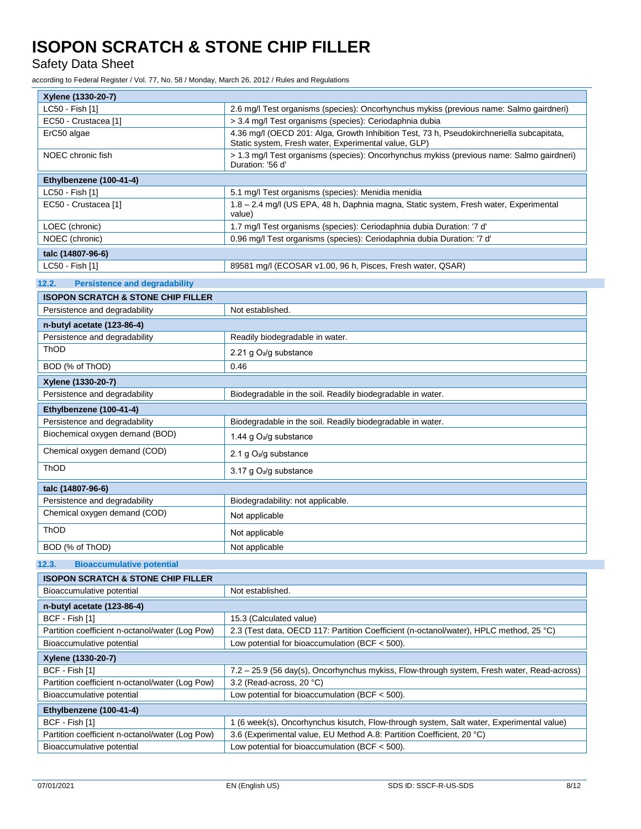Safety Data Sheet

according to Federal Register / Vol. 77, No. 58 / Monday, March 26, 2012 / Rules and Regulations

| Xylene (1330-20-7)                              |                                                                                                                                                   |  |  |  |
|-------------------------------------------------|---------------------------------------------------------------------------------------------------------------------------------------------------|--|--|--|
| LC50 - Fish [1]                                 | 2.6 mg/l Test organisms (species): Oncorhynchus mykiss (previous name: Salmo gairdneri)                                                           |  |  |  |
| EC50 - Crustacea [1]                            | > 3.4 mg/l Test organisms (species): Ceriodaphnia dubia                                                                                           |  |  |  |
| ErC50 algae                                     | 4.36 mg/l (OECD 201: Alga, Growth Inhibition Test, 73 h, Pseudokirchneriella subcapitata,<br>Static system, Fresh water, Experimental value, GLP) |  |  |  |
| NOEC chronic fish                               | > 1.3 mg/l Test organisms (species): Oncorhynchus mykiss (previous name: Salmo gairdneri)<br>Duration: '56 d'                                     |  |  |  |
| Ethylbenzene (100-41-4)                         |                                                                                                                                                   |  |  |  |
| LC50 - Fish [1]                                 | 5.1 mg/l Test organisms (species): Menidia menidia                                                                                                |  |  |  |
| EC50 - Crustacea [1]                            | 1.8 - 2.4 mg/l (US EPA, 48 h, Daphnia magna, Static system, Fresh water, Experimental<br>value)                                                   |  |  |  |
| LOEC (chronic)                                  | 1.7 mg/l Test organisms (species): Ceriodaphnia dubia Duration: '7 d'                                                                             |  |  |  |
| NOEC (chronic)                                  | 0.96 mg/l Test organisms (species): Ceriodaphnia dubia Duration: '7 d'                                                                            |  |  |  |
| talc (14807-96-6)                               |                                                                                                                                                   |  |  |  |
| LC50 - Fish [1]                                 | 89581 mg/l (ECOSAR v1.00, 96 h, Pisces, Fresh water, QSAR)                                                                                        |  |  |  |
| 12.2.<br><b>Persistence and degradability</b>   |                                                                                                                                                   |  |  |  |
| <b>ISOPON SCRATCH &amp; STONE CHIP FILLER</b>   |                                                                                                                                                   |  |  |  |
| Persistence and degradability                   | Not established.                                                                                                                                  |  |  |  |
| n-butyl acetate (123-86-4)                      |                                                                                                                                                   |  |  |  |
| Persistence and degradability                   | Readily biodegradable in water.                                                                                                                   |  |  |  |
| ThOD                                            | 2.21 g O <sub>2</sub> /g substance                                                                                                                |  |  |  |
| BOD (% of ThOD)                                 | 0.46                                                                                                                                              |  |  |  |
| Xylene (1330-20-7)                              |                                                                                                                                                   |  |  |  |
| Persistence and degradability                   | Biodegradable in the soil. Readily biodegradable in water.                                                                                        |  |  |  |
| Ethylbenzene (100-41-4)                         |                                                                                                                                                   |  |  |  |
| Persistence and degradability                   | Biodegradable in the soil. Readily biodegradable in water.                                                                                        |  |  |  |
| Biochemical oxygen demand (BOD)                 | 1.44 g O <sub>2</sub> /g substance                                                                                                                |  |  |  |
| Chemical oxygen demand (COD)                    | 2.1 g $O_2$ /g substance                                                                                                                          |  |  |  |
| ThOD                                            | 3.17 g O <sub>2</sub> /g substance                                                                                                                |  |  |  |
| talc (14807-96-6)                               |                                                                                                                                                   |  |  |  |
| Persistence and degradability                   | Biodegradability: not applicable.                                                                                                                 |  |  |  |
| Chemical oxygen demand (COD)                    | Not applicable                                                                                                                                    |  |  |  |
| ThOD                                            | Not applicable                                                                                                                                    |  |  |  |
| BOD (% of ThOD)                                 | Not applicable                                                                                                                                    |  |  |  |
| <b>Bioaccumulative potential</b><br>12.3.       |                                                                                                                                                   |  |  |  |
| <b>ISOPON SCRATCH &amp; STONE CHIP FILLER</b>   |                                                                                                                                                   |  |  |  |
| Bioaccumulative potential                       | Not established.                                                                                                                                  |  |  |  |
| n-butyl acetate (123-86-4)                      |                                                                                                                                                   |  |  |  |
| BCF - Fish [1]                                  | 15.3 (Calculated value)                                                                                                                           |  |  |  |
| Partition coefficient n-octanol/water (Log Pow) | 2.3 (Test data, OECD 117: Partition Coefficient (n-octanol/water), HPLC method, 25 °C)                                                            |  |  |  |
| Bioaccumulative potential                       | Low potential for bioaccumulation (BCF $<$ 500).                                                                                                  |  |  |  |
| Xylene (1330-20-7)                              |                                                                                                                                                   |  |  |  |
| RCF - Fish [1]                                  | 7.2 – 25.9 (56 day(s). Oncorbynchus mykiss. Flow-through system. Fresh water. Read-across)                                                        |  |  |  |

| BCF - Fish [1]                                  | 7.2 - 25.9 (56 day(s), Oncorhynchus mykiss, Flow-through system, Fresh water, Read-across) |
|-------------------------------------------------|--------------------------------------------------------------------------------------------|
| Partition coefficient n-octanol/water (Log Pow) | 3.2 (Read-across, 20 °C)                                                                   |
| Bioaccumulative potential                       | Low potential for bioaccumulation (BCF $<$ 500).                                           |
| Ethylbenzene (100-41-4)                         |                                                                                            |
|                                                 |                                                                                            |
| BCF - Fish [1]                                  | 1 (6 week(s), Oncorhynchus kisutch, Flow-through system, Salt water, Experimental value)   |
| Partition coefficient n-octanol/water (Log Pow) | 3.6 (Experimental value, EU Method A.8: Partition Coefficient, 20 °C)                      |
| Bioaccumulative potential                       | Low potential for bioaccumulation (BCF $<$ 500).                                           |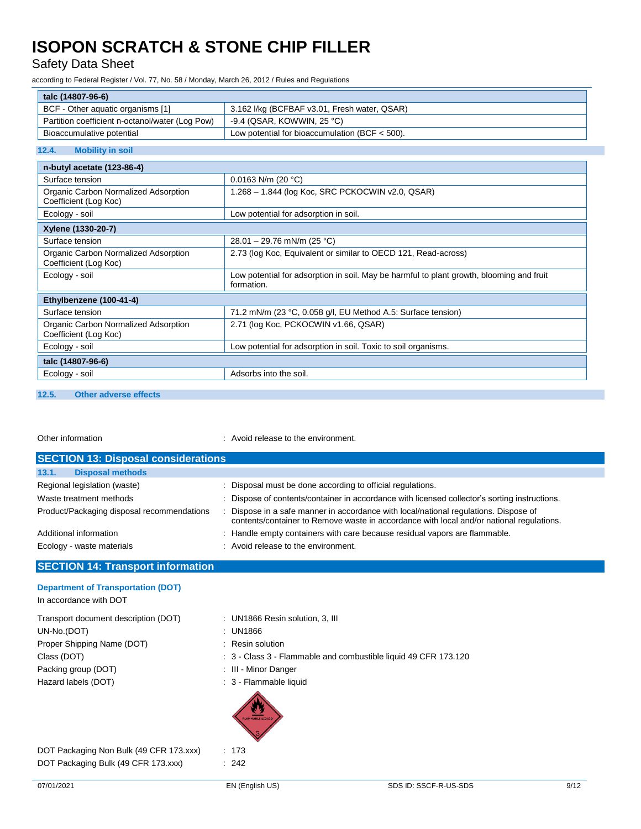Safety Data Sheet

according to Federal Register / Vol. 77, No. 58 / Monday, March 26, 2012 / Rules and Regulations

| talc (14807-96-6)                                             |                                                                                                        |  |  |
|---------------------------------------------------------------|--------------------------------------------------------------------------------------------------------|--|--|
| BCF - Other aquatic organisms [1]                             | 3.162 I/kg (BCFBAF v3.01, Fresh water, QSAR)                                                           |  |  |
| Partition coefficient n-octanol/water (Log Pow)               | -9.4 (QSAR, KOWWIN, 25 °C)                                                                             |  |  |
| Bioaccumulative potential                                     | Low potential for bioaccumulation (BCF $<$ 500).                                                       |  |  |
| <b>Mobility in soil</b><br>12.4.                              |                                                                                                        |  |  |
| n-butyl acetate (123-86-4)                                    |                                                                                                        |  |  |
| Surface tension                                               | 0.0163 N/m (20 $^{\circ}$ C)                                                                           |  |  |
| Organic Carbon Normalized Adsorption<br>Coefficient (Log Koc) | 1.268 - 1.844 (log Koc, SRC PCKOCWIN v2.0, QSAR)                                                       |  |  |
| Ecology - soil                                                | Low potential for adsorption in soil.                                                                  |  |  |
| Xylene (1330-20-7)                                            |                                                                                                        |  |  |
| Surface tension                                               | 28.01 - 29.76 mN/m (25 °C)                                                                             |  |  |
| Organic Carbon Normalized Adsorption<br>Coefficient (Log Koc) | 2.73 (log Koc, Equivalent or similar to OECD 121, Read-across)                                         |  |  |
| Ecology - soil                                                | Low potential for adsorption in soil. May be harmful to plant growth, blooming and fruit<br>formation. |  |  |
| Ethylbenzene (100-41-4)                                       |                                                                                                        |  |  |
| Surface tension                                               | 71.2 mN/m (23 °C, 0.058 g/l, EU Method A.5: Surface tension)                                           |  |  |
| Organic Carbon Normalized Adsorption<br>Coefficient (Log Koc) | 2.71 (log Koc, PCKOCWIN v1.66, QSAR)                                                                   |  |  |
| Ecology - soil                                                | Low potential for adsorption in soil. Toxic to soil organisms.                                         |  |  |
| talc (14807-96-6)                                             |                                                                                                        |  |  |
| Ecology - soil                                                | Adsorbs into the soil.                                                                                 |  |  |

#### **12.5. Other adverse effects**

Other information  $\qquad \qquad :$  Avoid release to the environment.

| <b>SECTION 13: Disposal considerations</b> |                                                                                                                                                                                |
|--------------------------------------------|--------------------------------------------------------------------------------------------------------------------------------------------------------------------------------|
| 13.1.<br><b>Disposal methods</b>           |                                                                                                                                                                                |
| Regional legislation (waste)               | : Disposal must be done according to official regulations.                                                                                                                     |
| Waste treatment methods                    | : Dispose of contents/container in accordance with licensed collector's sorting instructions.                                                                                  |
| Product/Packaging disposal recommendations | Dispose in a safe manner in accordance with local/national regulations. Dispose of<br>contents/container to Remove waste in accordance with local and/or national regulations. |
| Additional information                     | : Handle empty containers with care because residual vapors are flammable.                                                                                                     |
| Ecology - waste materials                  | : Avoid release to the environment.                                                                                                                                            |

### **SECTION 14: Transport information**

| <b>Department of Transportation (DOT)</b><br>In accordance with DOT |                                                                 |
|---------------------------------------------------------------------|-----------------------------------------------------------------|
| Transport document description (DOT)                                | : UN1866 Resin solution, 3, III                                 |
| UN-No.(DOT)                                                         | : UN1866                                                        |
| Proper Shipping Name (DOT)                                          | : Resin solution                                                |
| Class (DOT)                                                         | : 3 - Class 3 - Flammable and combustible liquid 49 CFR 173.120 |
| Packing group (DOT)                                                 | : III - Minor Danger                                            |
| Hazard labels (DOT)                                                 | : 3 - Flammable liquid<br><b>FLAMMABLE LIQUID</b>               |
| DOT Packaging Non Bulk (49 CFR 173.xxx)                             | : 173                                                           |
|                                                                     | $\sim$ $\sim$                                                   |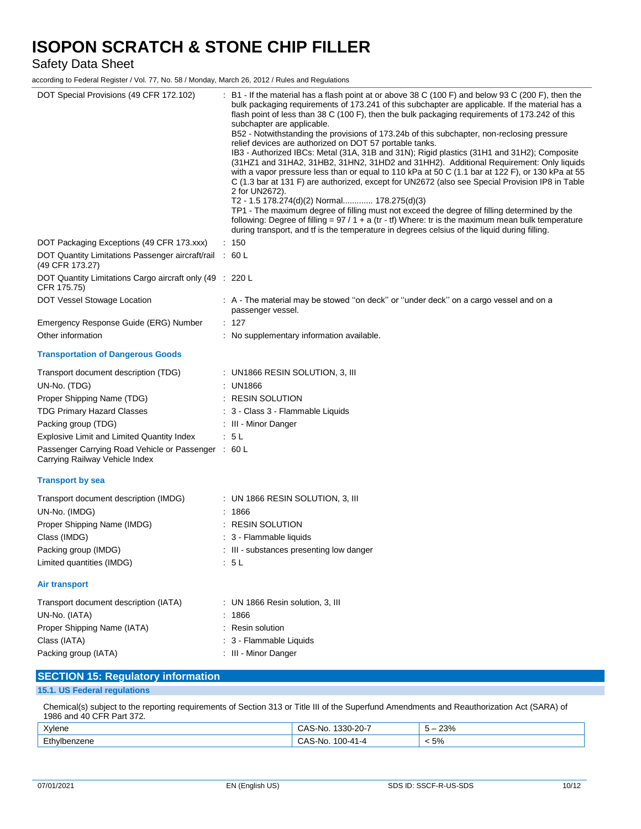Safety Data Sheet

according to Federal Register / Vol. 77, No. 58 / Monday, March 26, 2012 / Rules and Regulations

| DOT Special Provisions (49 CFR 172.102)                                               | : B1 - If the material has a flash point at or above 38 C (100 F) and below 93 C (200 F), then the<br>bulk packaging requirements of 173.241 of this subchapter are applicable. If the material has a<br>flash point of less than 38 C (100 F), then the bulk packaging requirements of 173.242 of this<br>subchapter are applicable.<br>B52 - Notwithstanding the provisions of 173.24b of this subchapter, non-reclosing pressure<br>relief devices are authorized on DOT 57 portable tanks.<br>IB3 - Authorized IBCs: Metal (31A, 31B and 31N); Rigid plastics (31H1 and 31H2); Composite<br>(31HZ1 and 31HA2, 31HB2, 31HN2, 31HD2 and 31HH2). Additional Requirement: Only liquids<br>with a vapor pressure less than or equal to 110 kPa at 50 C (1.1 bar at 122 F), or 130 kPa at 55<br>C (1.3 bar at 131 F) are authorized, except for UN2672 (also see Special Provision IP8 in Table<br>2 for UN2672).<br>T2 - 1.5 178.274(d)(2) Normal 178.275(d)(3)<br>TP1 - The maximum degree of filling must not exceed the degree of filling determined by the<br>following: Degree of filling = $97/1 + a$ (tr - tf) Where: tr is the maximum mean bulk temperature<br>during transport, and tf is the temperature in degrees celsius of the liquid during filling. |
|---------------------------------------------------------------------------------------|---------------------------------------------------------------------------------------------------------------------------------------------------------------------------------------------------------------------------------------------------------------------------------------------------------------------------------------------------------------------------------------------------------------------------------------------------------------------------------------------------------------------------------------------------------------------------------------------------------------------------------------------------------------------------------------------------------------------------------------------------------------------------------------------------------------------------------------------------------------------------------------------------------------------------------------------------------------------------------------------------------------------------------------------------------------------------------------------------------------------------------------------------------------------------------------------------------------------------------------------------------------------|
| DOT Packaging Exceptions (49 CFR 173.xxx)                                             | : 150                                                                                                                                                                                                                                                                                                                                                                                                                                                                                                                                                                                                                                                                                                                                                                                                                                                                                                                                                                                                                                                                                                                                                                                                                                                               |
| DOT Quantity Limitations Passenger aircraft/rail : 60 L<br>(49 CFR 173.27)            |                                                                                                                                                                                                                                                                                                                                                                                                                                                                                                                                                                                                                                                                                                                                                                                                                                                                                                                                                                                                                                                                                                                                                                                                                                                                     |
| DOT Quantity Limitations Cargo aircraft only (49 : 220 L<br>CFR 175.75)               |                                                                                                                                                                                                                                                                                                                                                                                                                                                                                                                                                                                                                                                                                                                                                                                                                                                                                                                                                                                                                                                                                                                                                                                                                                                                     |
| DOT Vessel Stowage Location                                                           | : A - The material may be stowed "on deck" or "under deck" on a cargo vessel and on a<br>passenger vessel.                                                                                                                                                                                                                                                                                                                                                                                                                                                                                                                                                                                                                                                                                                                                                                                                                                                                                                                                                                                                                                                                                                                                                          |
| Emergency Response Guide (ERG) Number                                                 | : 127                                                                                                                                                                                                                                                                                                                                                                                                                                                                                                                                                                                                                                                                                                                                                                                                                                                                                                                                                                                                                                                                                                                                                                                                                                                               |
| Other information                                                                     | : No supplementary information available.                                                                                                                                                                                                                                                                                                                                                                                                                                                                                                                                                                                                                                                                                                                                                                                                                                                                                                                                                                                                                                                                                                                                                                                                                           |
| <b>Transportation of Dangerous Goods</b>                                              |                                                                                                                                                                                                                                                                                                                                                                                                                                                                                                                                                                                                                                                                                                                                                                                                                                                                                                                                                                                                                                                                                                                                                                                                                                                                     |
| Transport document description (TDG)                                                  | $:$ UN1866 RESIN SOLUTION, 3, III                                                                                                                                                                                                                                                                                                                                                                                                                                                                                                                                                                                                                                                                                                                                                                                                                                                                                                                                                                                                                                                                                                                                                                                                                                   |
| UN-No. (TDG)                                                                          | : UN1866                                                                                                                                                                                                                                                                                                                                                                                                                                                                                                                                                                                                                                                                                                                                                                                                                                                                                                                                                                                                                                                                                                                                                                                                                                                            |
| Proper Shipping Name (TDG)                                                            | : RESIN SOLUTION                                                                                                                                                                                                                                                                                                                                                                                                                                                                                                                                                                                                                                                                                                                                                                                                                                                                                                                                                                                                                                                                                                                                                                                                                                                    |
| <b>TDG Primary Hazard Classes</b>                                                     | : 3 - Class 3 - Flammable Liquids                                                                                                                                                                                                                                                                                                                                                                                                                                                                                                                                                                                                                                                                                                                                                                                                                                                                                                                                                                                                                                                                                                                                                                                                                                   |
| Packing group (TDG)                                                                   | : III Minor Danger                                                                                                                                                                                                                                                                                                                                                                                                                                                                                                                                                                                                                                                                                                                                                                                                                                                                                                                                                                                                                                                                                                                                                                                                                                                  |
| Explosive Limit and Limited Quantity Index                                            | : 5L                                                                                                                                                                                                                                                                                                                                                                                                                                                                                                                                                                                                                                                                                                                                                                                                                                                                                                                                                                                                                                                                                                                                                                                                                                                                |
| Passenger Carrying Road Vehicle or Passenger : 60 L<br>Carrying Railway Vehicle Index |                                                                                                                                                                                                                                                                                                                                                                                                                                                                                                                                                                                                                                                                                                                                                                                                                                                                                                                                                                                                                                                                                                                                                                                                                                                                     |
| <b>Transport by sea</b>                                                               |                                                                                                                                                                                                                                                                                                                                                                                                                                                                                                                                                                                                                                                                                                                                                                                                                                                                                                                                                                                                                                                                                                                                                                                                                                                                     |
| Transport document description (IMDG)                                                 | $\colon$ UN 1866 RESIN SOLUTION, 3, III                                                                                                                                                                                                                                                                                                                                                                                                                                                                                                                                                                                                                                                                                                                                                                                                                                                                                                                                                                                                                                                                                                                                                                                                                             |
| UN-No. (IMDG)                                                                         | : 1866                                                                                                                                                                                                                                                                                                                                                                                                                                                                                                                                                                                                                                                                                                                                                                                                                                                                                                                                                                                                                                                                                                                                                                                                                                                              |
| Proper Shipping Name (IMDG)                                                           | $\colon$ RESIN SOLUTION                                                                                                                                                                                                                                                                                                                                                                                                                                                                                                                                                                                                                                                                                                                                                                                                                                                                                                                                                                                                                                                                                                                                                                                                                                             |
| Class (IMDG)                                                                          | : 3 - Flammable liquids                                                                                                                                                                                                                                                                                                                                                                                                                                                                                                                                                                                                                                                                                                                                                                                                                                                                                                                                                                                                                                                                                                                                                                                                                                             |
| Packing group (IMDG)                                                                  | : III - substances presenting low danger                                                                                                                                                                                                                                                                                                                                                                                                                                                                                                                                                                                                                                                                                                                                                                                                                                                                                                                                                                                                                                                                                                                                                                                                                            |
| Limited quantities (IMDG)                                                             | : 5L                                                                                                                                                                                                                                                                                                                                                                                                                                                                                                                                                                                                                                                                                                                                                                                                                                                                                                                                                                                                                                                                                                                                                                                                                                                                |
| Air transport                                                                         |                                                                                                                                                                                                                                                                                                                                                                                                                                                                                                                                                                                                                                                                                                                                                                                                                                                                                                                                                                                                                                                                                                                                                                                                                                                                     |
| Transport document description (IATA)                                                 | : UN 1866 Resin solution, 3, III                                                                                                                                                                                                                                                                                                                                                                                                                                                                                                                                                                                                                                                                                                                                                                                                                                                                                                                                                                                                                                                                                                                                                                                                                                    |
| UN-No. (IATA)                                                                         | : 1866                                                                                                                                                                                                                                                                                                                                                                                                                                                                                                                                                                                                                                                                                                                                                                                                                                                                                                                                                                                                                                                                                                                                                                                                                                                              |
| Proper Shipping Name (IATA)                                                           | : Resin solution                                                                                                                                                                                                                                                                                                                                                                                                                                                                                                                                                                                                                                                                                                                                                                                                                                                                                                                                                                                                                                                                                                                                                                                                                                                    |
| Class (IATA)                                                                          | 3 - Flammable Liquids                                                                                                                                                                                                                                                                                                                                                                                                                                                                                                                                                                                                                                                                                                                                                                                                                                                                                                                                                                                                                                                                                                                                                                                                                                               |
| Packing group (IATA)                                                                  | : III - Minor Danger                                                                                                                                                                                                                                                                                                                                                                                                                                                                                                                                                                                                                                                                                                                                                                                                                                                                                                                                                                                                                                                                                                                                                                                                                                                |
| <b>SECTION 15: Regulatory information</b>                                             |                                                                                                                                                                                                                                                                                                                                                                                                                                                                                                                                                                                                                                                                                                                                                                                                                                                                                                                                                                                                                                                                                                                                                                                                                                                                     |
|                                                                                       |                                                                                                                                                                                                                                                                                                                                                                                                                                                                                                                                                                                                                                                                                                                                                                                                                                                                                                                                                                                                                                                                                                                                                                                                                                                                     |

#### **15.1. US Federal regulations**

Chemical(s) subject to the reporting requirements of Section 313 or Title III of the Superfund Amendments and Reauthorization Act (SARA) of 1986 and 40 CFR Part 372.

| $\mathcal{N}$<br>xvlene | $\sim$ $\sim$ $\sim$<br>330-<br>$\mathbf{v}$<br>∵No.<br>-20-1<br>UNJ | 23%<br>$\overline{\phantom{0}}$ |
|-------------------------|----------------------------------------------------------------------|---------------------------------|
| Ethylbenzene<br>___     | ٬∩∩<br>$\mathbf{v}$<br>' No.<br>47-00.<br>$-4$<br>◡่∩◡               | 50/<br>$\sim$ 70                |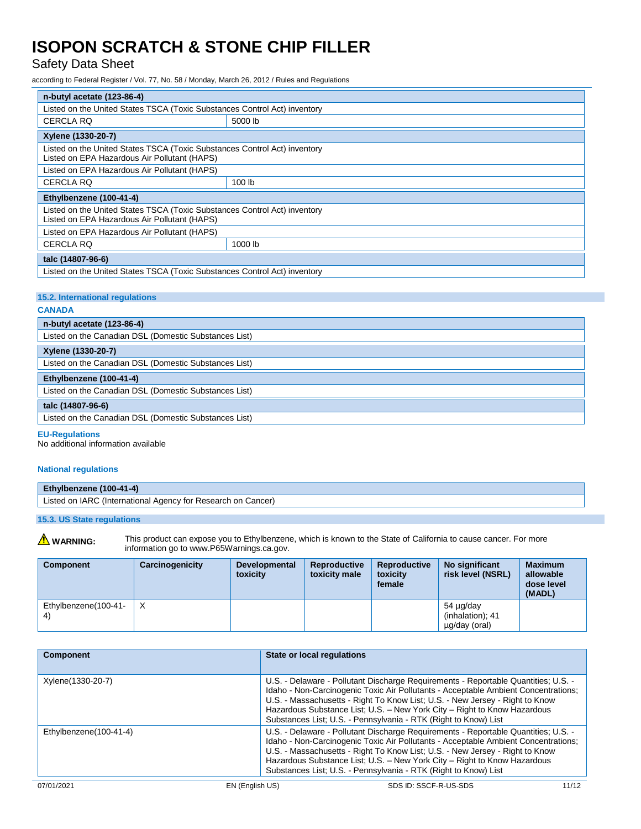## Safety Data Sheet

according to Federal Register / Vol. 77, No. 58 / Monday, March 26, 2012 / Rules and Regulations

| n-butyl acetate (123-86-4)                                                                                                |         |  |  |
|---------------------------------------------------------------------------------------------------------------------------|---------|--|--|
| Listed on the United States TSCA (Toxic Substances Control Act) inventory                                                 |         |  |  |
| <b>CERCLA RQ</b>                                                                                                          | 5000 lb |  |  |
| Xylene (1330-20-7)                                                                                                        |         |  |  |
| Listed on the United States TSCA (Toxic Substances Control Act) inventory<br>Listed on EPA Hazardous Air Pollutant (HAPS) |         |  |  |
| Listed on EPA Hazardous Air Pollutant (HAPS)                                                                              |         |  |  |
| <b>CERCLA RQ</b>                                                                                                          | 100 lb  |  |  |
| Ethylbenzene (100-41-4)                                                                                                   |         |  |  |
| Listed on the United States TSCA (Toxic Substances Control Act) inventory<br>Listed on EPA Hazardous Air Pollutant (HAPS) |         |  |  |
| Listed on EPA Hazardous Air Pollutant (HAPS)                                                                              |         |  |  |
| <b>CERCLA RQ</b>                                                                                                          | 1000 lb |  |  |
| talc (14807-96-6)                                                                                                         |         |  |  |
| Listed on the United States TSCA (Toxic Substances Control Act) inventory                                                 |         |  |  |

### **15.2. International regulations**

#### **CANADA**

| n-butyl acetate (123-86-4)                            |  |  |
|-------------------------------------------------------|--|--|
| Listed on the Canadian DSL (Domestic Substances List) |  |  |
| Xylene (1330-20-7)                                    |  |  |
| Listed on the Canadian DSL (Domestic Substances List) |  |  |
| Ethylbenzene (100-41-4)                               |  |  |
| Listed on the Canadian DSL (Domestic Substances List) |  |  |
| talc (14807-96-6)                                     |  |  |
| Listed on the Canadian DSL (Domestic Substances List) |  |  |

#### **EU-Regulations**

No additional information available

#### **National regulations**

| Ethylbenzene (100-41-4)                                      |
|--------------------------------------------------------------|
| Listed on IARC (International Agency for Research on Cancer) |
|                                                              |

### **15.3. US State regulations**

WARNING: This product can expose you to Ethylbenzene, which is known to the State of California to cause cancer. For more information go to www.P65Warnings.ca.gov.

| <b>Component</b>     | Carcinogenicity | <b>Developmental</b><br>toxicity | <b>Reproductive</b><br>toxicity male | <b>Reproductive</b><br>toxicity<br>female | No significant<br>risk level (NSRL)            | <b>Maximum</b><br>allowable<br>dose level<br>(MADL) |
|----------------------|-----------------|----------------------------------|--------------------------------------|-------------------------------------------|------------------------------------------------|-----------------------------------------------------|
| Ethylbenzene(100-41- | $\times$        |                                  |                                      |                                           | 54 µg/day<br>(inhalation); 41<br>µg/day (oral) |                                                     |

| <b>Component</b>       | State or local regulations                                                                                                                                                                                                                                                                                                                                                                              |
|------------------------|---------------------------------------------------------------------------------------------------------------------------------------------------------------------------------------------------------------------------------------------------------------------------------------------------------------------------------------------------------------------------------------------------------|
| Xylene(1330-20-7)      | U.S. - Delaware - Pollutant Discharge Requirements - Reportable Quantities; U.S. -<br>Idaho - Non-Carcinogenic Toxic Air Pollutants - Acceptable Ambient Concentrations:<br>U.S. - Massachusetts - Right To Know List; U.S. - New Jersey - Right to Know<br>Hazardous Substance List; U.S. - New York City - Right to Know Hazardous<br>Substances List; U.S. - Pennsylvania - RTK (Right to Know) List |
| Ethylbenzene(100-41-4) | U.S. - Delaware - Pollutant Discharge Requirements - Reportable Quantities; U.S. -<br>Idaho - Non-Carcinogenic Toxic Air Pollutants - Acceptable Ambient Concentrations;<br>U.S. - Massachusetts - Right To Know List; U.S. - New Jersey - Right to Know<br>Hazardous Substance List; U.S. - New York City - Right to Know Hazardous<br>Substances List; U.S. - Pennsylvania - RTK (Right to Know) List |